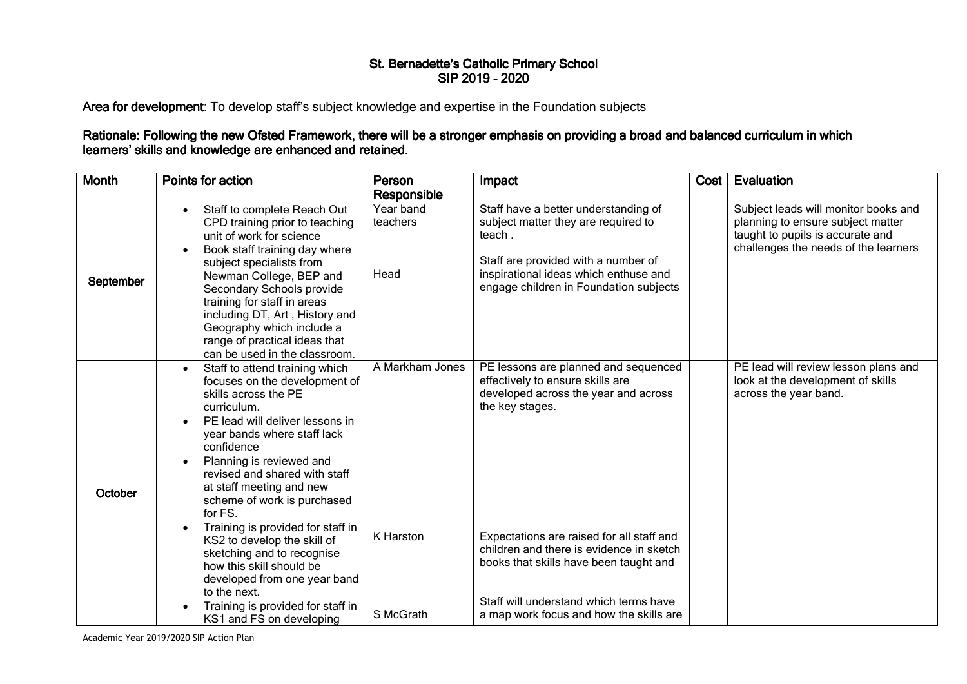## St. Bernadette's Catholic Primary School SIP 2019 -2020

Area for development: To develop staff's subject knowledge and expertise in the Foundation subjects

## Rationale: Following the new Ofsted Framework, there will be a stronger emphasis on providing a broad and balanced curriculum in which<br>learners' skills and knowledge are enhanced and retained.

| <b>Month</b> | Points for action                                                                                                                                                                                                                                                                                                                                                                                                                                                                                                                                                                     | Person<br>Responsible                     | Impact                                                                                                                                                                                                                                                                                                                                                      | Cost | Evaluation                                                                                                                                            |
|--------------|---------------------------------------------------------------------------------------------------------------------------------------------------------------------------------------------------------------------------------------------------------------------------------------------------------------------------------------------------------------------------------------------------------------------------------------------------------------------------------------------------------------------------------------------------------------------------------------|-------------------------------------------|-------------------------------------------------------------------------------------------------------------------------------------------------------------------------------------------------------------------------------------------------------------------------------------------------------------------------------------------------------------|------|-------------------------------------------------------------------------------------------------------------------------------------------------------|
| September    | Staff to complete Reach Out<br>CPD training prior to teaching<br>unit of work for science<br>Book staff training day where<br>subject specialists from<br>Newman College, BEP and<br>Secondary Schools provide<br>training for staff in areas<br>including DT, Art, History and<br>Geography which include a<br>range of practical ideas that<br>can be used in the classroom.                                                                                                                                                                                                        | Year band<br>teachers<br>Head             | Staff have a better understanding of<br>subject matter they are required to<br>teach.<br>Staff are provided with a number of<br>inspirational ideas which enthuse and<br>engage children in Foundation subjects                                                                                                                                             |      | Subject leads will monitor books and<br>planning to ensure subject matter<br>taught to pupils is accurate and<br>challenges the needs of the learners |
| October      | Staff to attend training which<br>$\bullet$<br>focuses on the development of<br>skills across the PE<br>curriculum.<br>PE lead will deliver lessons in<br>year bands where staff lack<br>confidence<br>Planning is reviewed and<br>revised and shared with staff<br>at staff meeting and new<br>scheme of work is purchased<br>for FS.<br>Training is provided for staff in<br>KS2 to develop the skill of<br>sketching and to recognise<br>how this skill should be<br>developed from one year band<br>to the next.<br>Training is provided for staff in<br>KS1 and FS on developing | A Markham Jones<br>K Harston<br>S McGrath | PE lessons are planned and sequenced<br>effectively to ensure skills are<br>developed across the year and across<br>the key stages.<br>Expectations are raised for all staff and<br>children and there is evidence in sketch<br>books that skills have been taught and<br>Staff will understand which terms have<br>a map work focus and how the skills are |      | PE lead will review lesson plans and<br>look at the development of skills<br>across the year band.                                                    |

Academic Year 2019/2020 SIP Action Plan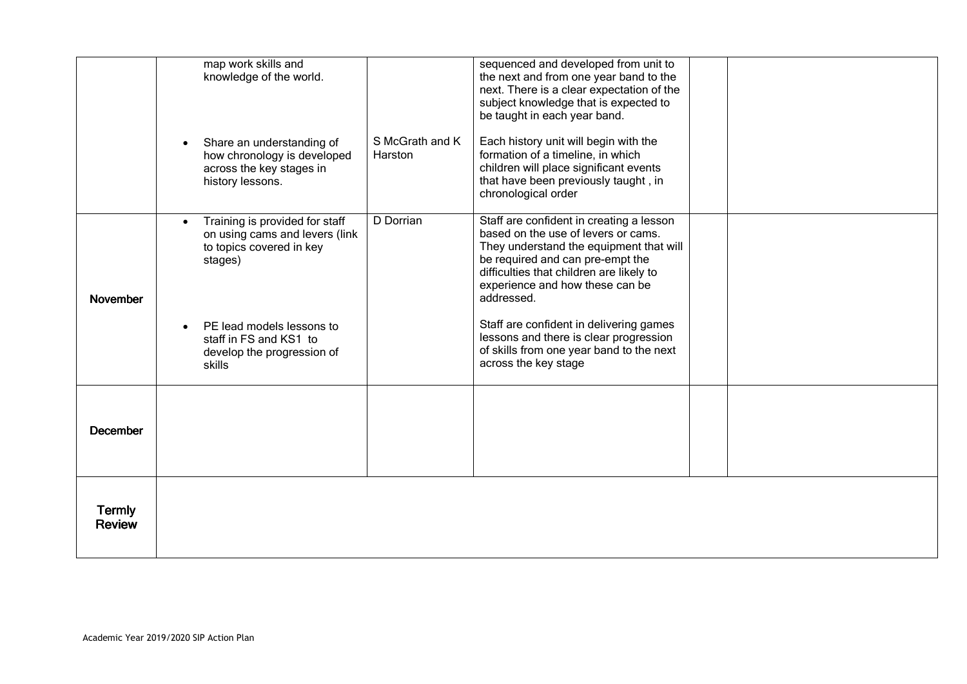|                                | map work skills and<br>knowledge of the world.<br>Share an understanding of<br>how chronology is developed<br>across the key stages in<br>history lessons.                                             | S McGrath and K<br>Harston | sequenced and developed from unit to<br>the next and from one year band to the<br>next. There is a clear expectation of the<br>subject knowledge that is expected to<br>be taught in each year band.<br>Each history unit will begin with the<br>formation of a timeline, in which<br>children will place significant events<br>that have been previously taught, in<br>chronological order                          |  |
|--------------------------------|--------------------------------------------------------------------------------------------------------------------------------------------------------------------------------------------------------|----------------------------|----------------------------------------------------------------------------------------------------------------------------------------------------------------------------------------------------------------------------------------------------------------------------------------------------------------------------------------------------------------------------------------------------------------------|--|
| November                       | Training is provided for staff<br>on using cams and levers (link<br>to topics covered in key<br>stages)<br>PE lead models lessons to<br>staff in FS and KS1 to<br>develop the progression of<br>skills | D Dorrian                  | Staff are confident in creating a lesson<br>based on the use of levers or cams.<br>They understand the equipment that will<br>be required and can pre-empt the<br>difficulties that children are likely to<br>experience and how these can be<br>addressed.<br>Staff are confident in delivering games<br>lessons and there is clear progression<br>of skills from one year band to the next<br>across the key stage |  |
| <b>December</b>                |                                                                                                                                                                                                        |                            |                                                                                                                                                                                                                                                                                                                                                                                                                      |  |
| <b>Termly</b><br><b>Review</b> |                                                                                                                                                                                                        |                            |                                                                                                                                                                                                                                                                                                                                                                                                                      |  |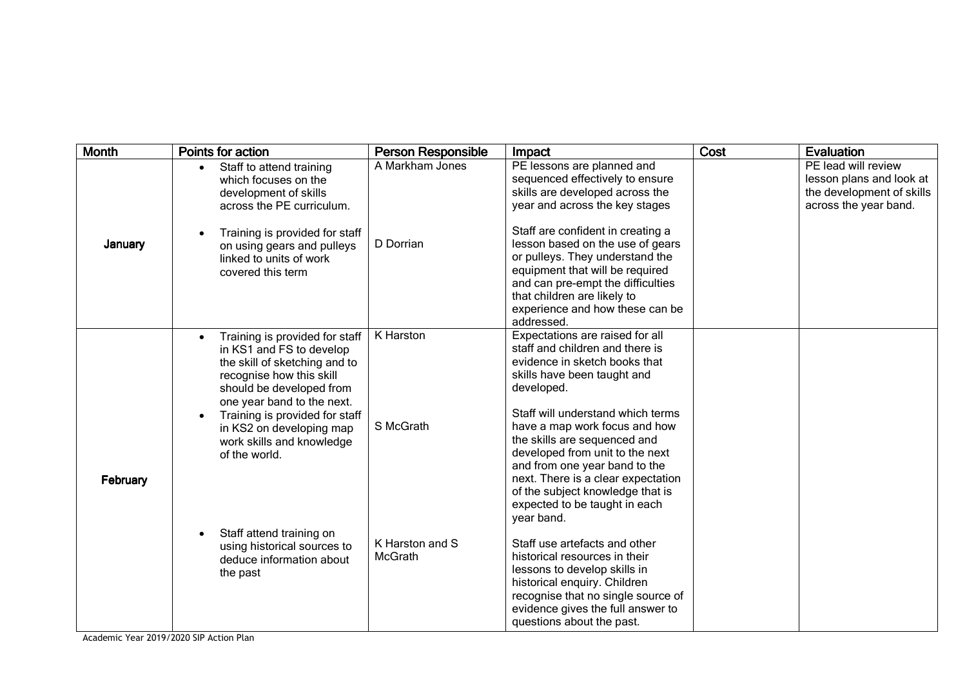| <b>Month</b> | Points for action                                                                                                                                                                                                                                                                             | <b>Person Responsible</b>  | Impact                                                                                                                                                                                                                                                                                                                                                                                                                                              | Cost | Evaluation                                                                                            |
|--------------|-----------------------------------------------------------------------------------------------------------------------------------------------------------------------------------------------------------------------------------------------------------------------------------------------|----------------------------|-----------------------------------------------------------------------------------------------------------------------------------------------------------------------------------------------------------------------------------------------------------------------------------------------------------------------------------------------------------------------------------------------------------------------------------------------------|------|-------------------------------------------------------------------------------------------------------|
| January      | Staff to attend training<br>$\bullet$<br>which focuses on the<br>development of skills<br>across the PE curriculum.                                                                                                                                                                           | A Markham Jones            | PE lessons are planned and<br>sequenced effectively to ensure<br>skills are developed across the<br>year and across the key stages                                                                                                                                                                                                                                                                                                                  |      | PE lead will review<br>lesson plans and look at<br>the development of skills<br>across the year band. |
|              | Training is provided for staff<br>on using gears and pulleys<br>linked to units of work<br>covered this term                                                                                                                                                                                  | D Dorrian                  | Staff are confident in creating a<br>lesson based on the use of gears<br>or pulleys. They understand the<br>equipment that will be required<br>and can pre-empt the difficulties<br>that children are likely to<br>experience and how these can be<br>addressed.                                                                                                                                                                                    |      |                                                                                                       |
| February     | Training is provided for staff<br>in KS1 and FS to develop<br>the skill of sketching and to<br>recognise how this skill<br>should be developed from<br>one year band to the next.<br>Training is provided for staff<br>in KS2 on developing map<br>work skills and knowledge<br>of the world. | K Harston<br>S McGrath     | Expectations are raised for all<br>staff and children and there is<br>evidence in sketch books that<br>skills have been taught and<br>developed.<br>Staff will understand which terms<br>have a map work focus and how<br>the skills are sequenced and<br>developed from unit to the next<br>and from one year band to the<br>next. There is a clear expectation<br>of the subject knowledge that is<br>expected to be taught in each<br>year band. |      |                                                                                                       |
|              | Staff attend training on<br>using historical sources to<br>deduce information about<br>the past                                                                                                                                                                                               | K Harston and S<br>McGrath | Staff use artefacts and other<br>historical resources in their<br>lessons to develop skills in<br>historical enquiry. Children<br>recognise that no single source of<br>evidence gives the full answer to<br>questions about the past.                                                                                                                                                                                                              |      |                                                                                                       |

Academic Year 2019/2020 SIP Action Plan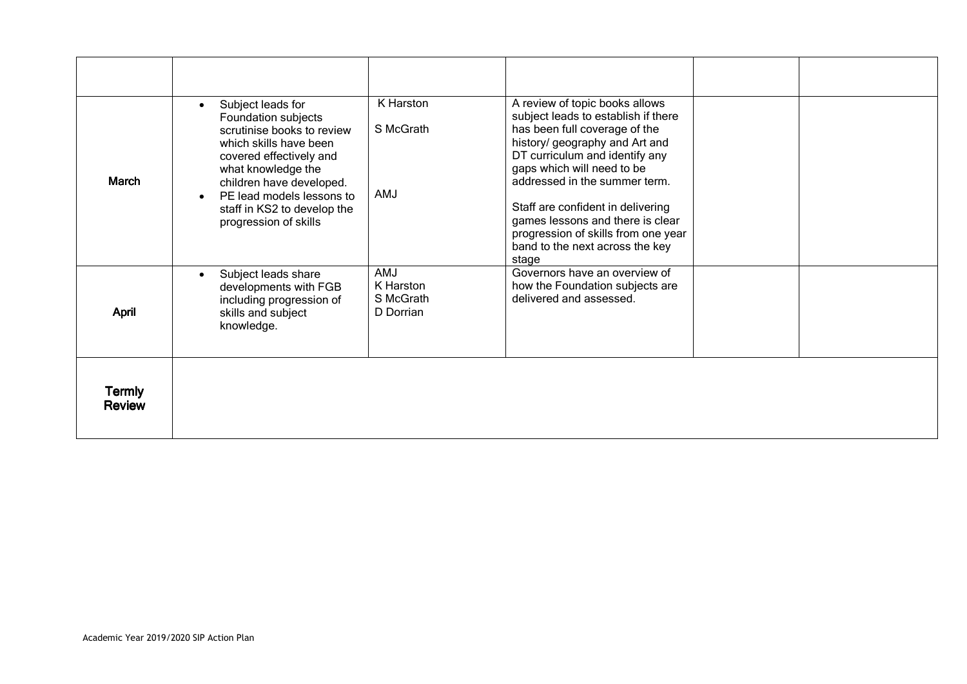| <b>March</b>                   | Subject leads for<br>Foundation subjects<br>scrutinise books to review<br>which skills have been<br>covered effectively and<br>what knowledge the<br>children have developed.<br>PE lead models lessons to<br>staff in KS2 to develop the<br>progression of skills | K Harston<br>S McGrath<br><b>AMJ</b>              | A review of topic books allows<br>subject leads to establish if there<br>has been full coverage of the<br>history/ geography and Art and<br>DT curriculum and identify any<br>gaps which will need to be<br>addressed in the summer term.<br>Staff are confident in delivering<br>games lessons and there is clear<br>progression of skills from one year<br>band to the next across the key<br>stage |  |
|--------------------------------|--------------------------------------------------------------------------------------------------------------------------------------------------------------------------------------------------------------------------------------------------------------------|---------------------------------------------------|-------------------------------------------------------------------------------------------------------------------------------------------------------------------------------------------------------------------------------------------------------------------------------------------------------------------------------------------------------------------------------------------------------|--|
| April                          | Subject leads share<br>developments with FGB<br>including progression of<br>skills and subject<br>knowledge.                                                                                                                                                       | <b>AMJ</b><br>K Harston<br>S McGrath<br>D Dorrian | Governors have an overview of<br>how the Foundation subjects are<br>delivered and assessed.                                                                                                                                                                                                                                                                                                           |  |
| <b>Termly</b><br><b>Review</b> |                                                                                                                                                                                                                                                                    |                                                   |                                                                                                                                                                                                                                                                                                                                                                                                       |  |